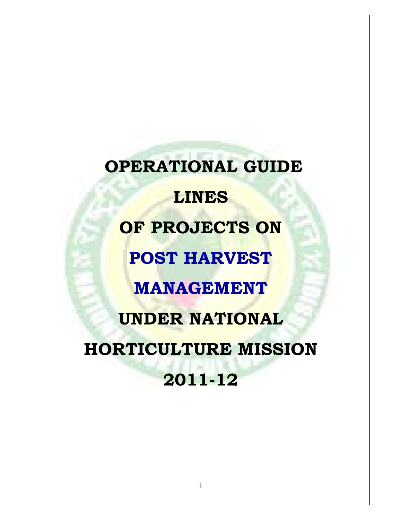**OPERATIONAL GUIDE LINES OF PROJECTS ON POST HARVEST MANAGEMENT UNDER NATIONAL HORTICULTURE MISSION 2011-12**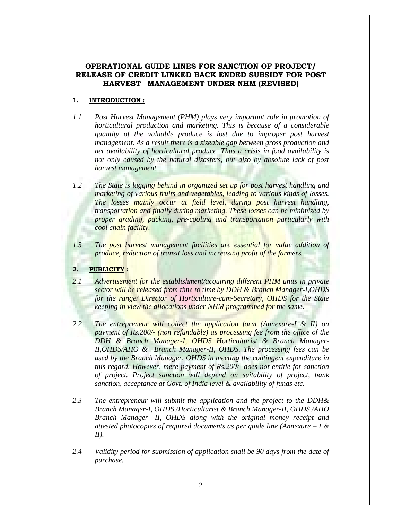# **OPERATIONAL GUIDE LINES FOR SANCTION OF PROJECT/ RELEASE OF CREDIT LINKED BACK ENDED SUBSIDY FOR POST HARVEST MANAGEMENT UNDER NHM (REVISED)**

# **1. INTRODUCTION :**

- *1.1 Post Harvest Management (PHM) plays very important role in promotion of horticultural production and marketing. This is because of a considerable quantity of the valuable produce is lost due to improper post harvest management. As a result there is a sizeable gap between gross production and net availability of horticultural produce. Thus a crisis in food availability is not only caused by the natural disasters, but also by absolute lack of post harvest management.*
- *1.2 The State is lagging behind in organized set up for post harvest handling and marketing of various fruits and vegetables, leading to various kinds of losses. The losses mainly occur at field level, during post harvest handling, transportation and finally during marketing. These losses can be minimized by proper grading, packing, pre-cooling and transportation particularly with cool chain facility.*
- 1.3 The post harvest management facilities are essential for value addition of *produce, reduction of transit loss and increasing profit of the farmers.*

# **2. PUBLICITY :**

- *2.1 Advertisement for the establishment/acquiring different PHM units in private sector will be released from time to time by DDH & Branch Manager-I,OHDS for the range/ Director of Horticulture-cum-Secretary, OHDS for the State keeping in view the allocations under NHM programmed for the same.*
- *2.2 The entrepreneur will collect the application form (Annexure-I & II) on payment of Rs.200/- (non refundable) as processing fee from the office of the DDH & Branch Manager-I, OHDS Horticulturist & Branch Manager-II,OHDS/AHO & Branch Manager-II, OHDS. The processing fees can be used by the Branch Manager, OHDS in meeting the contingent expenditure in this regard. However, mere payment of Rs.200/- does not entitle for sanction of project. Project sanction will depend on suitability of project, bank sanction, acceptance at Govt. of India level & availability of funds etc.*
- *2.3 The entrepreneur will submit the application and the project to the DDH& Branch Manager-I, OHDS /Horticulturist & Branch Manager-II, OHDS /AHO Branch Manager- II, OHDS along with the original money receipt and attested photocopies of required documents as per guide line (Annexure – I & II).*
- *2.4 Validity period for submission of application shall be 90 days from the date of purchase.*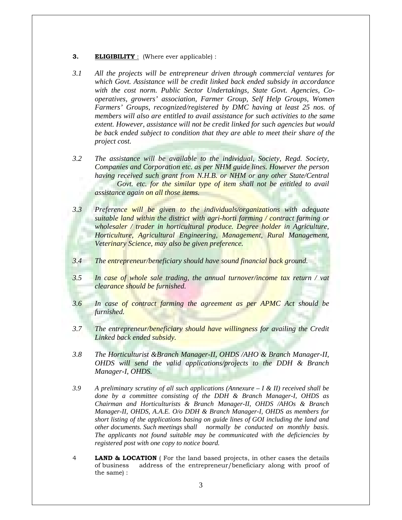- **3. ELIGIBILITY** : (Where ever applicable) :
- *3.1 All the projects will be entrepreneur driven through commercial ventures for which Govt. Assistance will be credit linked back ended subsidy in accordance with the cost norm. Public Sector Undertakings, State Govt. Agencies, Cooperatives, growers' association, Farmer Group, Self Help Groups, Women Farmers' Groups, recognized/registered by DMC having at least 25 nos. of members will also are entitled to avail assistance for such activities to the same extent. However, assistance will not be credit linked for such agencies but would be back ended subject to condition that they are able to meet their share of the project cost.*
- *3.2 The assistance will be available to the individual, Society, Regd. Society, Companies and Corporation etc. as per NHM guide lines. However the person having received such grant from N.H.B. or NHM or any other State/Central*  Govt. etc. for the similar type of *item* shall not be entitled to avail *assistance again on all those items.*
- *3.3 Preference will be given to the individuals/organizations with adequate suitable land within the district with agri-horti farming / contract farming or wholesaler / trader in horticultural produce. Degree holder in Agriculture, Horticulture, Agricultural Engineering, Management, Rural Management, Veterinary Science, may also be given preference.*
- *3.4 The entrepreneur/beneficiary should have sound financial back ground.*
- *3.5 In case of whole sale trading, the annual turnover/income tax return / vat clearance should be furnished.*
- *3.6 In case of contract farming the agreement as per APMC Act should be furnished.*
- *3.7 The entrepreneur/beneficiary should have willingness for availing the Credit Linked back ended subsidy.*
- *3.8 The Horticulturist &Branch Manager-II, OHDS /AHO & Branch Manager-II, OHDS will send the valid applications/projects to the DDH & Branch Manager-I, OHDS.*
- *3.9 A preliminary scrutiny of all such applications (Annexure I & II) received shall be done by a committee consisting of the DDH & Branch Manager-I, OHDS as Chairman and Horticulturists & Branch Manager-II, OHDS /AHOs & Branch Manager-II, OHDS, A.A.E. O/o DDH & Branch Manager-I, OHDS as members for short listing of the applications basing on guide lines of GOI including the land and other documents. Such meetings shall normally be conducted on monthly basis. The applicants not found suitable may be communicated with the deficiencies by registered post with one copy to notice board.*
- 4 **LAND & LOCATION** ( For the land based projects, in other cases the details of business address of the entrepreneur/beneficiary along with proof of the same) :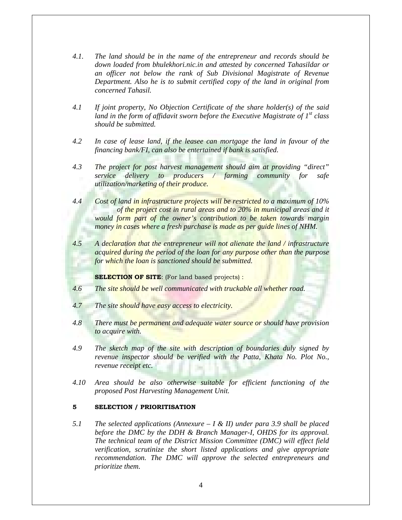- *4.1. The land should be in the name of the entrepreneur and records should be down loaded from bhulekhori.nic.in and attested by concerned Tahasildar or an officer not below the rank of Sub Divisional Magistrate of Revenue Department. Also he is to submit certified copy of the land in original from concerned Tahasil.*
- *4.1 If joint property, No Objection Certificate of the share holder(s) of the said land in the form of affidavit sworn before the Executive Magistrate of 1st class should be submitted.*
- *4.2 In case of lease land, if the leasee can mortgage the land in favour of the financing bank/FI, can also be entertained if bank is satisfied.*
- *4.3 The project for post harvest management should aim at providing "direct" service delivery to producers / farming community for safe utilization/marketing of their produce.*
- *4.4 Cost of land in infrastructure projects will be restricted to a maximum of 10% of the project cost in rural areas and to 20% in municipal areas and it would form part of the owner's contribution to be taken towards margin money in cases where a fresh purchase is made as per guide lines of NHM.*
- *4.5 A declaration that the entrepreneur will not alienate the land / infrastructure acquired during the period of the loan for any purpose other than the purpose for which the loan is sanctioned should be submitted.*

**SELECTION OF SITE:** (For land based projects) :

- *4.6 The site should be well communicated with truckable all whether road.*
- *4.7 The site should have easy access to electricity.*
- *4.8 There must be permanent and adequate water source or should have provision to acquire with.*
- *4.9 The sketch map of the site with description of boundaries duly signed by revenue inspector should be verified with the Patta, Khata No. Plot No., revenue receipt etc.*
- *4.10 Area should be also otherwise suitable for efficient functioning of the proposed Post Harvesting Management Unit.*

#### **5 SELECTION / PRIORITISATION**

*5.1 The selected applications (Annexure – I & II) under para 3.9 shall be placed before the DMC by the DDH & Branch Manager-I, OHDS for its approval. The technical team of the District Mission Committee (DMC) will effect field verification, scrutinize the short listed applications and give appropriate recommendation. The DMC will approve the selected entrepreneurs and prioritize them.*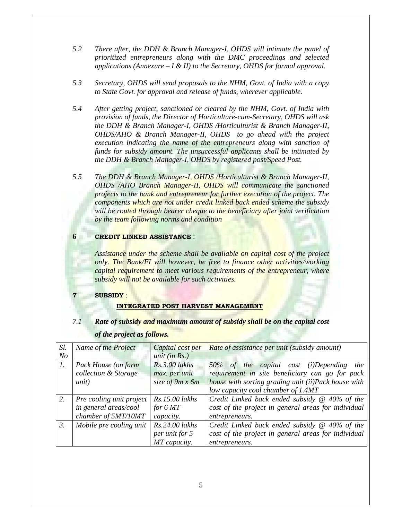- *5.2 There after, the DDH & Branch Manager-I, OHDS will intimate the panel of prioritized entrepreneurs along with the DMC proceedings and selected applications (Annexure – I & II) to the Secretary, OHDS for formal approval.*
- *5.3 Secretary, OHDS will send proposals to the NHM, Govt. of India with a copy to State Govt. for approval and release of funds, wherever applicable.*
- *5.4 After getting project, sanctioned or cleared by the NHM, Govt. of India with provision of funds, the Director of Horticulture-cum-Secretary, OHDS will ask the DDH & Branch Manager-I, OHDS /Horticulturist & Branch Manager-II, OHDS/AHO & Branch Manager-II, OHDS to go ahead with the project execution indicating the name of the entrepreneurs along with sanction of funds for subsidy amount. The unsuccessful applicants shall be intimated by the DDH & Branch Manager-I, OHDS by registered post/Speed Post.*
- *5.5 The DDH & Branch Manager-I, OHDS /Horticulturist & Branch Manager-II, OHDS /AHO Branch Manager-II, OHDS will communicate the sanctioned projects to the bank and entrepreneur for further execution of the project. The components which are not under credit linked back ended scheme the subsidy will be routed through bearer cheque to the beneficiary after joint verification by the team following norms and condition*

# **6 CREDIT LINKED ASSISTANCE** :

*Assistance under the scheme shall be available on capital cost of the project only. The Bank/FI will however, be free to finance other activities/working capital requirement to meet various requirements of the entrepreneur, where subsidy will not be available for such activities.* 

# **7 SUBSIDY** :

# **INTEGRATED POST HARVEST MANAGEMENT**

# *7.1 Rate of subsidy and maximum amount of subsidy shall be on the capital cost*

| Sl.              | Name of the Project      | Capital cost per       | <b>Rate of assistance per unit (subsidy amount)</b>  |
|------------------|--------------------------|------------------------|------------------------------------------------------|
| N <sub>o</sub>   |                          | unit (in $Rs.$ )       |                                                      |
| $\mathfrak{1}.$  | Pack House (on farm      | $Rs.3.00$ lakhs        | 50% of the capital cost (i)Depending<br>the          |
|                  | collection & Storage     | max. per unit          | requirement in site beneficiary can go for pack      |
|                  | unit)                    | size of $9m \times 6m$ | house with sorting grading unit (ii)Pack house with  |
|                  |                          |                        | low capacity cool chamber of 1.4MT                   |
| 2.               | Pre cooling unit project | Rs.15.00 lakhs         | Credit Linked back ended subsidy $@$ 40% of the      |
|                  | in general areas/cool    | for $6MT$              | cost of the project in general areas for individual  |
|                  | chamber of 5MT/10MT      | capacity.              | entrepreneurs.                                       |
| $\mathfrak{Z}$ . | Mobile pre cooling unit  | Rs.24.00 lakhs         | Credit Linked back ended subsidy $\omega$ 40% of the |
|                  |                          | per unit for 5         | cost of the project in general areas for individual  |
|                  |                          | MT capacity.           | entrepreneurs.                                       |

# *of the project as follows.*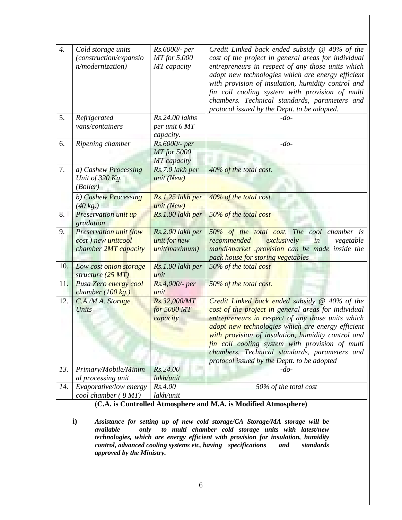| $\boldsymbol{4}$ . | Cold storage units            | Rs.6000/- per    | Credit Linked back ended subsidy @ 40% of the       |
|--------------------|-------------------------------|------------------|-----------------------------------------------------|
|                    | (construction/expansio        | MT for 5,000     | cost of the project in general areas for individual |
|                    | n/modernization)              | MT capacity      | entrepreneurs in respect of any those units which   |
|                    |                               |                  | adopt new technologies which are energy efficient   |
|                    |                               |                  | with provision of insulation, humidity control and  |
|                    |                               |                  | fin coil cooling system with provision of multi     |
|                    |                               |                  | chambers. Technical standards, parameters and       |
|                    |                               |                  | protocol issued by the Deptt. to be adopted.        |
| 5.                 | Refrigerated                  | Rs.24.00 lakhs   | $-do-$                                              |
|                    | vans/containers               | per unit 6 MT    |                                                     |
|                    |                               | capacity.        |                                                     |
| 6.                 | Ripening chamber              | Rs.6000/- per    | $-do-$                                              |
|                    |                               | MT for 5000      |                                                     |
|                    |                               | MT capacity      |                                                     |
| 7.                 | a) Cashew Processing          | Rs.7.0 lakh per  | 40% of the total cost.                              |
|                    | Unit of 320 Kg.               | unit $(New)$     |                                                     |
|                    | (Boiler)                      |                  |                                                     |
|                    | b) Cashew Processing          | Rs.1.25 lakh per | 40% of the total cost.                              |
|                    | $(40 \text{ kg.})$            | unit (New)       |                                                     |
| 8.                 | Preservation unit up          | Rs.1.00 lakh per | 50% of the total cost                               |
|                    | gradation                     |                  |                                                     |
| 9.                 | <b>Preservation unit (low</b> | Rs.2.00 lakh per | 50% of the total cost. The cool chamber is          |
|                    | cost) new unitcool            | unit for new     | exclusively<br>in<br>recommended<br>vegetable       |
|                    | chamber 2MT capacity          | unit(maximum)    | mandi/market provision can be made inside the       |
|                    |                               |                  | pack house for storing vegetables                   |
| 10.                | Low cost onion storage        | Rs.1.00 lakh per | 50% of the total cost                               |
|                    | structure (25 MT)             | unit             |                                                     |
| 11.                | <b>Pusa Zero</b> energy cool  | Rs.4,000/- per   | 50% of the total cost.                              |
|                    | chamber $(100 \text{ kg.})$   | unit             |                                                     |
| 12.                | C.A./M.A. Storage             | Rs.32,000/MT     | Credit Linked back ended subsidy $@$ 40% of the     |
|                    | Units                         | for 5000 MT      | cost of the project in general areas for individual |
|                    |                               | capacity         | entrepreneurs in respect of any those units which   |
|                    |                               |                  | adopt new technologies which are energy efficient   |
|                    |                               |                  | with provision of insulation, humidity control and  |
|                    |                               |                  | fin coil cooling system with provision of multi     |
|                    |                               |                  | chambers. Technical standards, parameters and       |
|                    |                               |                  | protocol issued by the Deptt. to be adopted         |
| 13.                | Primary/Mobile/Minim          | Rs.24.00         | $-do-$                                              |
|                    | al processing unit            | lakh/unit        |                                                     |
| 14.                | Evaporative/low energy        | Rs.4.00          | 50% of the total cost                               |
|                    | cool chamber (8 MT)           | lakh/unit        |                                                     |

# (**C.A. is Controlled Atmosphere and M.A. is Modified Atmosphere)**

**i)** *Assistance for setting up of new cold storage/CA Storage/MA storage will be available only to multi chamber cold storage units with latest/new technologies, which are energy efficient with provision for insulation, humidity control, advanced cooling systems etc, having specifications and standards control, advanced cooling systems etc, having specifications approved by the Ministry.*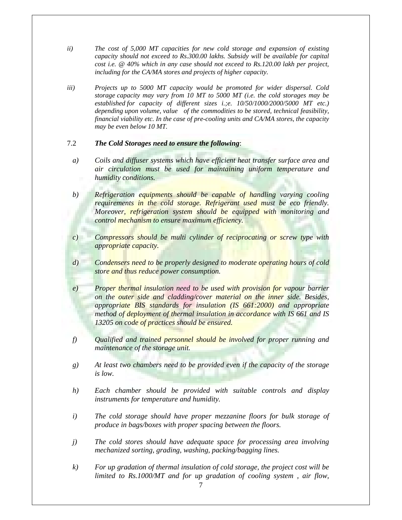- *ii) The cost of 5,000 MT capacities for new cold storage and expansion of existing capacity should not exceed to Rs.300.00 lakhs. Subsidy will be available for capital cost i.e. @ 40% which in any case should not exceed to Rs.120.00 lakh per project, including for the CA/MA stores and projects of higher capacity.*
- *iii) Projects up to 5000 MT capacity would be promoted for wider dispersal. Cold storage capacity may vary from 10 MT to 5000 MT (i.e. the cold storages may be established for capacity of different sizes i.;e. 10/50/1000/2000/5000 MT etc.) depending upon volume, value of the commodities to be stored, technical feasibility, financial viability etc. In the case of pre-cooling units and CA/MA stores, the capacity may be even below 10 MT.*

# 7.2 *The Cold Storages need to ensure the following*:

- *a) Coils and diffuser systems which have efficient heat transfer surface area and air circulation must be used for maintaining uniform temperature and humidity conditions.*
- *b) Refrigeration equipments should be capable of handling varying cooling requirements in the cold storage. Refrigerant used must be eco friendly. Moreover, refrigeration system should be equipped with monitoring and control mechanism to ensure maximum efficiency.*
- *c) Compressors should be multi cylinder of reciprocating or screw type with appropriate capacity.*
- *d) Condensers need to be properly designed to moderate operating hours of cold store and thus reduce power consumption.*
- *e) Proper thermal insulation need to be used with provision for vapour barrier on the outer side and cladding/cover material on the inner side. Besides, appropriate BIS standards for insulation (IS 661:2000) and appropriate method of deployment of thermal insulation in accordance with IS 661 and IS 13205 on code of practices should be ensured.*
- *f) Qualified and trained personnel should be involved for proper running and maintenance of the storage unit.*
- *g) At least two chambers need to be provided even if the capacity of the storage is low.*
- *h) Each chamber should be provided with suitable controls and display instruments for temperature and humidity.*
- *i) The cold storage should have proper mezzanine floors for bulk storage of produce in bags/boxes with proper spacing between the floors.*
- *j) The cold stores should have adequate space for processing area involving mechanized sorting, grading, washing, packing/bagging lines.*
- *k) For up gradation of thermal insulation of cold storage, the project cost will be limited to Rs.1000/MT and for up gradation of cooling system , air flow,*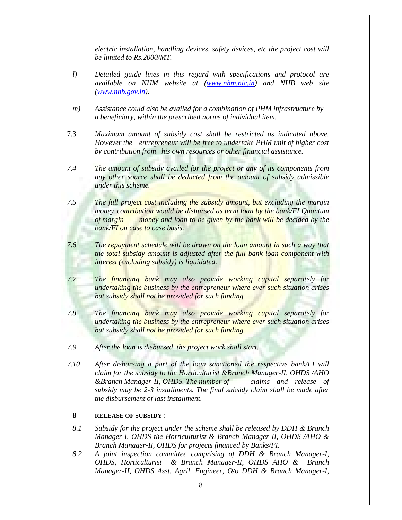*electric installation, handling devices, safety devices, etc the project cost will be limited to Rs.2000/MT.* 

- *l) Detailed guide lines in this regard with specifications and protocol are available on NHM website at (www.nhm.nic.in) and NHB web site (www.nhb.gov.in).*
- *m) Assistance could also be availed for a combination of PHM infrastructure by a beneficiary, within the prescribed norms of individual item.*
- 7.3 *Maximum amount of subsidy cost shall be restricted as indicated above. However the entrepreneur will be free to undertake PHM unit of higher cost by contribution from his own resources or other financial assistance.*
- *7.4 The amount of subsidy availed for the project or any of its components from any other source shall be deducted from the amount of subsidy admissible under this scheme.*
- *7.5 The full project cost including the subsidy amount, but excluding the margin money contribution would be disbursed as term loan by the bank/FI Quantum of margin money and loan to be given by the bank will be decided by the bank/FI on case to case basis.*
- *7.6 The repayment schedule will be drawn on the loan amount in such a way that the total subsidy amount is adjusted after the full bank loan component with interest (excluding subsidy) is liquidated.*
- *7.7 The financing bank may also provide working capital separately for undertaking the business by the entrepreneur where ever such situation arises but subsidy shall not be provided for such funding.*
- *7.8 The financing bank may also provide working capital separately for undertaking the business by the entrepreneur where ever such situation arises but subsidy shall not be provided for such funding.*
- *7.9 After the loan is disbursed, the project work shall start.*
- *7.10 After disbursing a part of the loan sanctioned the respective bank/FI will claim for the subsidy to the Horticulturist &Branch Manager-II, OHDS /AHO &Branch Manager-II, OHDS. The number of claims and release of subsidy may be 2-3 installments. The final subsidy claim shall be made after the disbursement of last installment.*

# **8 RELEASE OF SUBSIDY** :

- *8.1 Subsidy for the project under the scheme shall be released by DDH & Branch Manager-I, OHDS the Horticulturist & Branch Manager-II, OHDS /AHO & Branch Manager-II, OHDS for projects financed by Banks/FI.*
- *8.2 A joint inspection committee comprising of DDH & Branch Manager-I, OHDS, Horticulturist & Branch Manager-II, OHDS AHO & Branch Manager-II, OHDS Asst. Agril. Engineer, O/o DDH & Branch Manager-I,*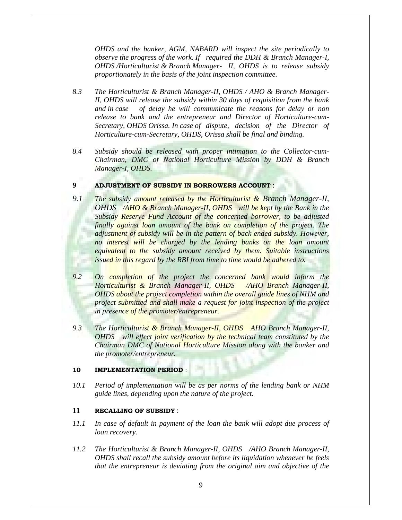*OHDS and the banker, AGM, NABARD will inspect the site periodically to observe the progress of the work. If required the DDH & Branch Manager-I, OHDS /Horticulturist & Branch Manager- II, OHDS is to release subsidy proportionately in the basis of the joint inspection committee.* 

- *8.3 The Horticulturist & Branch Manager-II, OHDS / AHO & Branch Manager-II, OHDS will release the subsidy within 30 days of requisition from the bank and in case of delay he will communicate the reasons for delay or non release to bank and the entrepreneur and Director of Horticulture-cum-Secretary, OHDS Orissa. In case of dispute, decision of the Director of Horticulture-cum-Secretary, OHDS, Orissa shall be final and binding.*
- *8.4 Subsidy should be released with proper intimation to the Collector-cum-Chairman, DMC of National Horticulture Mission by DDH & Branch Manager-I, OHDS.*

## **9 ADJUSTMENT OF SUBSIDY IN BORROWERS ACCOUNT** :

- *9.1 The subsidy amount released by the Horticulturist & Branch Manager-II, OHDS /AHO & Branch Manager-II, OHDS will be kept by the Bank in the Subsidy Reserve Fund Account of the concerned borrower, to be adjusted finally against loan amount of the bank on completion of the project. The adjustment of subsidy will be in the pattern of back ended subsidy. However,*  no interest will be charged by the lending banks on the loan amount *equivalent to the subsidy amount received by them. Suitable instructions issued in this regard by the RBI from time to time would be adhered to.*
- *9.2 On completion of the project the concerned bank would inform the Horticulturist & Branch Manager-II, OHDS /AHO Branch Manager-II, OHDS about the project completion within the overall guide lines of NHM and project submitted and shall make a request for joint inspection of the project in presence of the promoter/entrepreneur.*
- *9.3 The Horticulturist & Branch Manager-II, OHDS AHO Branch Manager-II, OHDS will effect joint verification by the technical team constituted by the Chairman DMC of National Horticulture Mission along with the banker and the promoter/entrepreneur.*

#### **10 IMPLEMENTATION PERIOD** :

*10.1 Period of implementation will be as per norms of the lending bank or NHM guide lines, depending upon the nature of the project.* 

#### **11 RECALLING OF SUBSIDY** :

- *11.1 In case of default in payment of the loan the bank will adopt due process of loan recovery.*
- *11.2 The Horticulturist & Branch Manager-II, OHDS /AHO Branch Manager-II, OHDS shall recall the subsidy amount before its liquidation whenever he feels that the entrepreneur is deviating from the original aim and objective of the*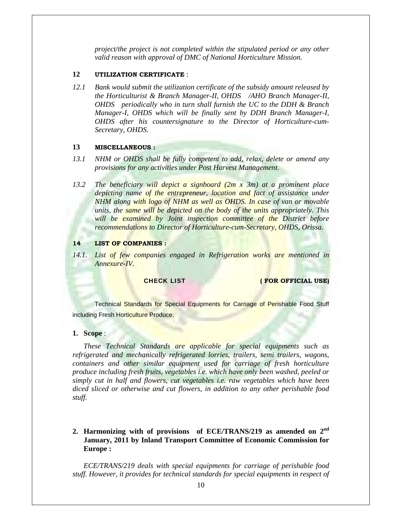*project/the project is not completed within the stipulated period or any other valid reason with approval of DMC of National Horticulture Mission.* 

### **12 UTILIZATION CERTIFICATE** :

*12.1 Bank would submit the utilization certificate of the subsidy amount released by the Horticulturist & Branch Manager-II, OHDS /AHO Branch Manager-II, OHDS periodically who in turn shall furnish the UC to the DDH & Branch Manager-I, OHDS which will be finally sent by DDH Branch Manager-I, OHDS after his countersignature to the Director of Horticulture-cum-Secretary, OHDS.* 

#### **13 MISCELLANEOUS :**

- *13.1 NHM or OHDS shall be fully competent to add, relax, delete or amend any provisions for any activities under Post Harvest Management.*
- *13.2 The beneficiary will depict a signboard (2m x 3m) at a prominent place depicting name of the entrepreneur, location and fact of assistance under NHM along with logo of NHM as well as OHDS. In case of van or movable units, the same will be depicted on the body of the units appropriately. This will be examined by Joint inspection committee of the District before recommendations to Director of Horticulture-cum-Secretary, OHDS, Orissa.*

#### **14 LIST OF COMPANIES :**

14.1. List of few companies engaged in Refrigeration works are mentioned in *Annexure-IV.* 

**CHECK LIST CHECK LIST CHECK LIST** 

Technical Standards for Special Equipments for Carriage of Perishable Food Stuff including Fresh Horticulture Produce.

#### **1. Scope** :

*These Technical Standards are applicable for special equipments such as refrigerated and mechanically refrigerated lorries, trailers, semi trailers, wagons, containers and other similar equipment used for carriage of fresh horticulture produce including fresh fruits, vegetables i.e. which have only been washed, peeled or simply cut in half and flowers, cut vegetables i.e. raw vegetables which have been diced sliced or otherwise and cut flowers, in addition to any other perishable food stuff.* 

# **2. Harmonizing with of provisions of ECE/TRANS/219 as amended on 2nd January, 2011 by Inland Transport Committee of Economic Commission for Europe :**

*ECE/TRANS/219 deals with special equipments for carriage of perishable food stuff. However, it provides for technical standards for special equipments in respect of*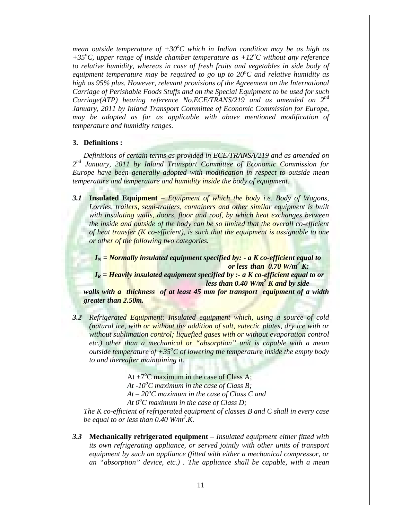*mean outside temperature of +30<sup>o</sup>C which in Indian condition may be as high as* +35°C, upper range of inside chamber temperature as +12°C without any reference *to relative humidity, whereas in case of fresh fruits and vegetables in side body of equipment temperature may be required to go up to 20<sup>o</sup> C and relative humidity as high as 95% plus. However, relevant provisions of the Agreement on the International Carriage of Perishable Foods Stuffs and on the Special Equipment to be used for such Carriage(ATP) bearing reference No.ECE/TRANS/219 and as amended on 2nd January, 2011 by Inland Transport Committee of Economic Commission for Europe, may be adopted as far as applicable with above mentioned modification of temperature and humidity ranges.* 

## **3. Definitions :**

*Definitions of certain terms as provided in ECE/TRANSA/219 and as amended on 2nd January, 2011 by Inland Transport Committee of Economic Commission for Europe have been generally adopted with modification in respect to outside mean temperature and temperature and humidity inside the body of equipment.* 

*3.1* **Insulated Equipment** – *Equipment of which the body i.e. Body of Wagons, Lorries, trailers, semi-trailers, containers and other similar equipment is built*  with insulating walls, doors, floor and roof, by which heat exchanges between *the inside and outside of the body can be so limited that the overall co-efficient of heat transfer (K co-efficient), is such that the equipment is assignable to one or other of the following two categories.* 

 $I_N =$  *Normally insulated equipment specified by: - a K co-efficient equal to*  $or less than 0.70 W/m<sup>2</sup> K:$ 

 $I_R = Heavily$  insulated equipment specified by  $\therefore$  a K co-efficient equal to or *less than 0.40 W/m<sup>2</sup> K and by side* 

*walls with a thickness of at least 45 mm for transport equipment of a width greater than 2.50m.* 

*3.2 Refrigerated Equipment: Insulated equipment which, using a source of cold (natural ice, with or without the addition of salt, eutectic plates, dry ice with or without sublimation control; liquefied gases with or without evaporation control etc.) other than a mechanical or "absorption" unit is capable with a mean outside temperature of +35<sup>o</sup>C of lowering the temperature inside the empty body to and thereafter maintaining it.* 

At  $+7^{\circ}$ C maximum in the case of Class A; At -10<sup>o</sup>C maximum in the case of Class B;  $At - 20^{\circ}C$  maximum in the case of Class C and At 0<sup>o</sup>C maximum in the case of Class D;

*The K co-efficient of refrigerated equipment of classes B and C shall in every case be equal to or less than 0.40 W/m2 .K.* 

*3.3* **Mechanically refrigerated equipment** – *Insulated equipment either fitted with its own refrigerating appliance, or served jointly with other units of transport equipment by such an appliance (fitted with either a mechanical compressor, or an "absorption" device, etc.) . The appliance shall be capable, with a mean*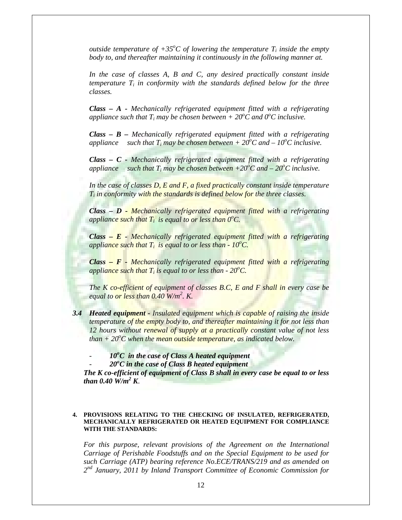*outside temperature of*  $+35^{\circ}$ *C of lowering the temperature*  $T_i$  *inside the empty body to, and thereafter maintaining it continuously in the following manner at.* 

*In the case of classes A, B and C, any desired practically constant inside temperature Ti in conformity with the standards defined below for the three classes.* 

 *Class – A - Mechanically refrigerated equipment fitted with a refrigerating*  appliance such that  $T_i$  may be chosen between +  $20^\circ$ C and  $0^\circ$ C inclusive.

*Class – B – Mechanically refrigerated equipment fitted with a refrigerating*  appliance such that  $T_i$  may be chosen between  $+ 20^\circ C$  and  $- 10^\circ C$  inclusive.

*Class – C - Mechanically refrigerated equipment fitted with a refrigerating*  appliance such that  $T_i$  may be chosen between  $+20^{\circ}$ C and  $-20^{\circ}$ C inclusive.

*In the case of classes D, E and F, a fixed practically constant inside temperature Ti in conformity with the standards is defined below for the three classes.* 

*Class – D - Mechanically refrigerated equipment fitted with a refrigerating*  appliance such that  $T_i$  is equal to or less than  $0^{\circ}C$ .

*Class – E - Mechanically refrigerated equipment fitted with a refrigerating appliance such that T<sub>i</sub> is equal to or less than - 10<sup>o</sup>C.* 

*Class – F - Mechanically refrigerated equipment fitted with a refrigerating appliance such that Ti is equal to or less than - 20<sup>o</sup> C.* 

*The K co-efficient of equipment of classes B.C, E and F shall in every case be equal to or less than 0.40 W/m<sup>2</sup> . K.* 

- *3.4 Heated equipment Insulated equipment which is capable of raising the inside temperature of the empty body to, and thereafter maintaining it for not less than 12 hours without renewal of supply at a practically constant value of not less*   $than + 20^{\circ}$ C when the *mean outside temperature, as indicated below.* 
	- <sup>2</sup> *10<sup>°</sup>C in the case of Class A heated equipment*
	- - *20o C in the case of Class B heated equipment*

*The K co-efficient of equipment of Class B shall in every case be equal to or less than* 0.40  $\widetilde{W}/m^2 K$ .

#### **4. PROVISIONS RELATING TO THE CHECKING OF INSULATED, REFRIGERATED, MECHANICALLY REFRIGERATED OR HEATED EQUIPMENT FOR COMPLIANCE WITH THE STANDARDS:**

*For this purpose, relevant provisions of the Agreement on the International Carriage of Perishable Foodstuffs and on the Special Equipment to be used for such Carriage (ATP) bearing reference No.ECE/TRANS/219 and as amended on 2nd January, 2011 by Inland Transport Committee of Economic Commission for*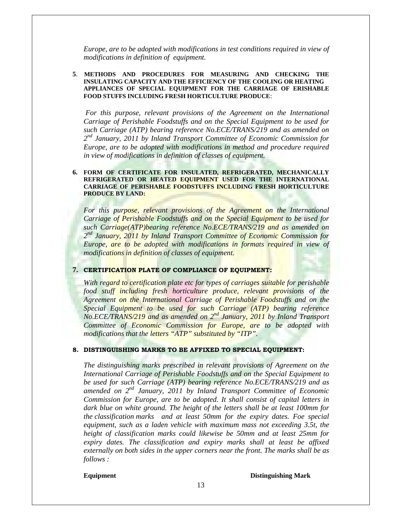*Europe, are to be adopted with modifications in test conditions required in view of modifications in definition of equipment*.

#### **5**. **METHODS AND PROCEDURES FOR MEASURING AND CHECKING THE INSULATING CAPACITY AND THE EFFICIENCY OF THE COOLING OR HEATING APPLIANCES OF SPECIAL EQUIPMENT FOR THE CARRIAGE OF ERISHABLE FOOD STUFFS INCLUDING FRESH HORTICULTURE PRODUCE**:

*For this purpose, relevant provisions of the Agreement on the International Carriage of Perishable Foodstuffs and on the Special Equipment to be used for such Carriage (ATP) bearing reference No.ECE/TRANS/219 and as amended on 2nd January, 2011 by Inland Transport Committee of Economic Commission for Europe, are to be adopted with modifications in method and procedure required in view of modifications in definition of classes of equipment.* 

#### **6. FORM OF CERTIFICATE FOR INSULATED, REFRIGERATED, MECHANICALLY REFRIGERATED OR HEATED EQUIPMENT USED FOR THE INTERNATIONAL CARRIAGE OF PERISHABLE FOODSTUFFS INCLUDING FRESH HORTICULTURE PRODUCE BY LAND:**

*For this purpose, relevant provisions of the Agreement on the International Carriage of Perishable Foodstuffs and on the Special Equipment to be used for such Carriage(ATP)bearing reference No.ECE/TRANS/219 and as amended on 2nd January, 2011 by Inland Transport Committee of Economic Commission for Europe, are to be adopted with modifications in formats required in view of modifications in definition of classes of equipment.* 

#### **7. CERTIFICATION PLATE OF COMPLIANCE OF EQUIPMENT:**

*With regard to certification plate etc for types of carriages suitable for perishable food stuff including fresh horticulture produce, relevant provisions of the Agreement on the International Carriage of Perishable Foodstuffs and on the Special Equipment to be used for such Carriage (ATP) bearing reference No.ECE/TRANS/219 and as amended on 2nd January, 2011 by Inland Transport Committee of Economic Commission for Europe, are to be adopted with modifications that the letters "ATP" substituted by "ITP".* 

#### **8. DISTINGUISHING MARKS TO BE AFFIXED TO SPECIAL EQUIPMENT:**

*The distinguishing marks prescribed in relevant provisions of Agreement on the International Carriage of Perishable Foodstuffs and on the Special Equipment to be used for such Carriage (ATP) bearing reference No.ECE/TRANS/219 and as amended on 2nd January, 2011 by Inland Transport Committee of Economic Commission for Europe, are to be adopted. It shall consist of capital letters in dark blue on white ground. The height of the letters shall be at least 100mm for the classification marks and at least 50mm for the expiry dates. Foe special equipment, such as a laden vehicle with maximum mass not exceeding 3.5t, the height of classification marks could likewise be 50mm and at least 25mm for expiry dates. The classification and expiry marks shall at least be affixed externally on both sides in the upper corners near the front. The marks shall be as follows :* 

**Equipment Distinguishing Mark**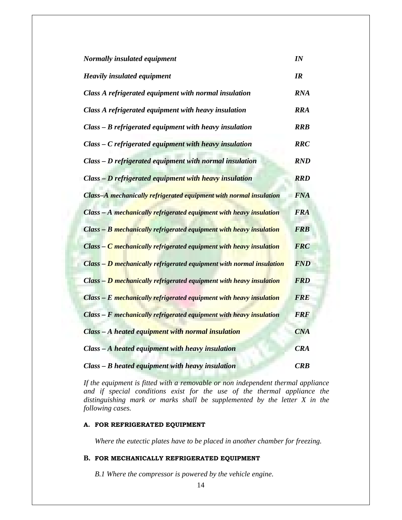| Normally insulated equipment                                         |            |  |  |
|----------------------------------------------------------------------|------------|--|--|
| <b>Heavily insulated equipment</b>                                   |            |  |  |
| Class A refrigerated equipment with normal insulation                | <b>RNA</b> |  |  |
| Class A refrigerated equipment with heavy insulation                 | <b>RRA</b> |  |  |
| Class - B refrigerated equipment with heavy insulation               | <b>RRB</b> |  |  |
| Class - C refrigerated equipment with heavy insulation               | <b>RRC</b> |  |  |
| Class - D refrigerated equipment with normal insulation              | <b>RND</b> |  |  |
| Class - D refrigerated equipment with heavy insulation               | <b>RRD</b> |  |  |
| Class-A mechanically refrigerated equipment with normal insulation   | <b>FNA</b> |  |  |
| Class - A mechanically refrigerated equipment with heavy insulation  | <b>FRA</b> |  |  |
| Class - B mechanically refrigerated equipment with heavy insulation  | <b>FRB</b> |  |  |
| Class - C mechanically refrigerated equipment with heavy insulation  | <b>FRC</b> |  |  |
| Class - D mechanically refrigerated equipment with normal insulation | <b>FND</b> |  |  |
| Class - D mechanically refrigerated equipment with heavy insulation  | <b>FRD</b> |  |  |
| Class - E mechanically refrigerated equipment with heavy insulation  | <b>FRE</b> |  |  |
| Class - F mechanically refrigerated equipment with heavy insulation  | <b>FRF</b> |  |  |
| Class - A heated equipment with normal insulation                    | <b>CNA</b> |  |  |
| Class – A heated equipment with heavy insulation                     | <b>CRA</b> |  |  |
| Class – B heated equipment with heavy insulation                     | CRB        |  |  |

*If the equipment is fitted with a removable or non independent thermal appliance and if special conditions exist for the use of the thermal appliance the distinguishing mark or marks shall be supplemented by the letter X in the following cases.* 

#### **A. FOR REFRIGERATED EQUIPMENT**

 *Where the eutectic plates have to be placed in another chamber for freezing.* 

# **B. FOR MECHANICALLY REFRIGERATED EQUIPMENT**

 *B.1 Where the compressor is powered by the vehicle engine*.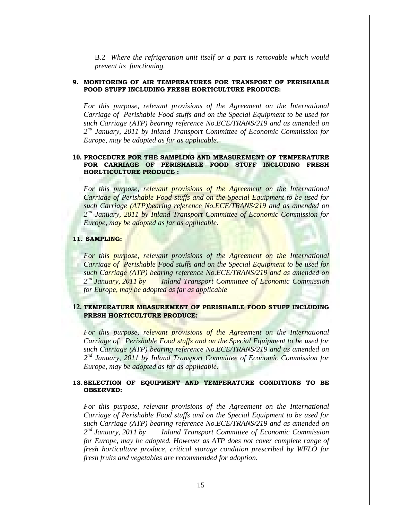B.2 *Where the refrigeration unit itself or a part is removable which would prevent its functioning.*

#### **9. MONITORING OF AIR TEMPERATURES FOR TRANSPORT OF PERISHABLE FOOD STUFF INCLUDING FRESH HORTICULTURE PRODUCE:**

*For this purpose, relevant provisions of the Agreement on the International Carriage of Perishable Food stuffs and on the Special Equipment to be used for such Carriage (ATP) bearing reference No.ECE/TRANS/219 and as amended on 2nd January, 2011 by Inland Transport Committee of Economic Commission for Europe, may be adopted as far as applicable.* 

#### **10. PROCEDURE FOR THE SAMPLING AND MEASUREMENT OF TEMPERATURE FOR CARRIAGE OF PERISHABLE FOOD STUFF INCLUDING FRESH HORLTICULTURE PRODUCE :**

For this purpose, relevant provisions of the Agreement on the International *Carriage of Perishable Food stuffs and on the Special Equipment to be used for such Carriage (ATP)bearing reference No.ECE/TRANS/219 and as amended on 2nd January, 2011 by Inland Transport Committee of Economic Commission for Europe, may be adopted as far as applicable.* 

#### **11. SAMPLING:**

*For this purpose, relevant provisions of the Agreement on the International Carriage of Perishable Food stuffs and on the Special Equipment to be used for such Carriage (ATP) bearing reference No.ECE/TRANS/219 and as amended on 2nd January, 2011 by Inland Transport Committee of Economic Commission for Europe, may be adopted as far as applicable* 

## **12. TEMPERATURE MEASUREMENT OF PERISHABLE FOOD STUFF INCLUDING FRESH HORTICULTURE PRODUCE:**

For this purpose, relevant provisions of the Agreement on the International *Carriage of Perishable Food stuffs and on the Special Equipment to be used for such Carriage (ATP) bearing reference No.ECE/TRANS/219 and as amended on 2nd January, 2011 by Inland Transport Committee of Economic Commission for Europe, may be adopted as far as applicable.* 

#### **13.SELECTION OF EQUIPMENT AND TEMPERATURE CONDITIONS TO BE OBSERVED:**

*For this purpose, relevant provisions of the Agreement on the International Carriage of Perishable Food stuffs and on the Special Equipment to be used for such Carriage (ATP) bearing reference No.ECE/TRANS/219 and as amended on 2nd January, 2011 by Inland Transport Committee of Economic Commission for Europe, may be adopted. However as ATP does not cover complete range of fresh horticulture produce, critical storage condition prescribed by WFLO for fresh fruits and vegetables are recommended for adoption.*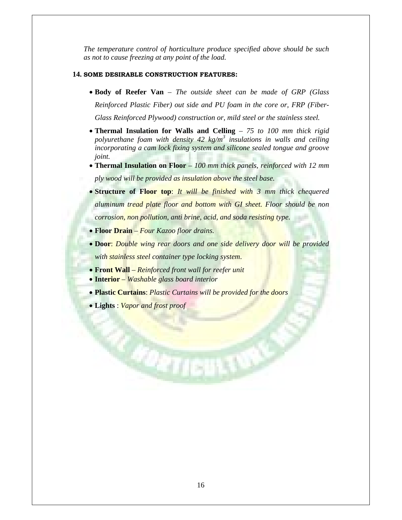*The temperature control of horticulture produce specified above should be such as not to cause freezing at any point of the load.* 

#### **14. SOME DESIRABLE CONSTRUCTION FEATURES:**

- **Body of Reefer Van** *The outside sheet can be made of GRP (Glass Reinforced Plastic Fiber) out side and PU foam in the core or, FRP (Fiber-Glass Reinforced Plywood) construction or, mild steel or the stainless steel.*
- **Thermal Insulation for Walls and Celling** *75 to 100 mm thick rigid polyurethane foam with density 42 kg/m<sup>3</sup> insulations in walls and ceiling incorporating a cam lock fixing system and silicone sealed tongue and groove joint.*
- **Thermal Insulation on Floor** *100 mm thick panels, reinforced with 12 mm ply wood will be provided as insulation above the steel base.*
- **Structure of Floor top**: *It will be finished with 3 mm thick chequered aluminum tread plate floor and bottom with GI sheet. Floor should be non corrosion, non pollution, anti brine, acid, and soda resisting type.*
- **Floor Drain**  *Four Kazoo floor drains.*
- **Door**: *Double wing rear doors and one side delivery door will be provided with stainless steel container type locking system*.
- **Front Wall** *Reinforced front wall for reefer unit*
- **Interior** *Washable glass board interior*
- **Plastic Curtains**: *Plastic Curtains will be provided for the doors*

**CETIENTS** 

• **Lights** : *Vapor and frost proof*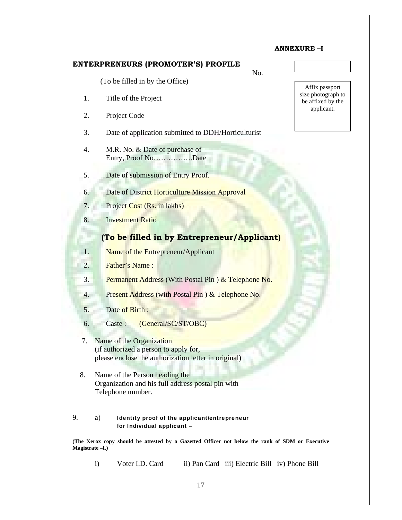# **ENTERPRENEURS (PROMOTER'S) PROFILE**

No.

(To be filled in by the Office)

- 1. Title of the Project
- 2. Project Code
- 3. Date of application submitted to DDH/Horticulturist
- 4. M.R. No. & Date of purchase of Entry, Proof No…………….Date
- 5. Date of submission of Entry Proof.
- 6. Date of District Horticulture Mission Approval
- 7. Project Cost (Rs. in lakhs)
- 8. Investment Ratio

# **(To be filled in by Entrepreneur/Applicant)**

- 1. Name of the Entrepreneur/Applicant
- 2. Father's Name :
- 3. Permanent Address (With Postal Pin ) & Telephone No.
- 4. Present Address (with Postal Pin ) & Telephone No.
- 5. Date of Birth :
- 6. Caste : (General/SC/ST/OBC)
- 7. Name of the Organization (if authorized a person to apply for, please enclose the authorization letter in original)
- 8. Name of the Person heading the Organization and his full address postal pin with Telephone number.

## 9. a) Identity proof of the applicant/entrepreneur for Individual applicant –

**(The Xerox copy should be attested by a Gazetted Officer not below the rank of SDM or Executive Magistrate –I.)** 

i) Voter I.D. Card iii) Pan Card iii) Electric Bill iv) Phone Bill



**ANNEXURE –I**

Affix passport size photograph to be affixed by the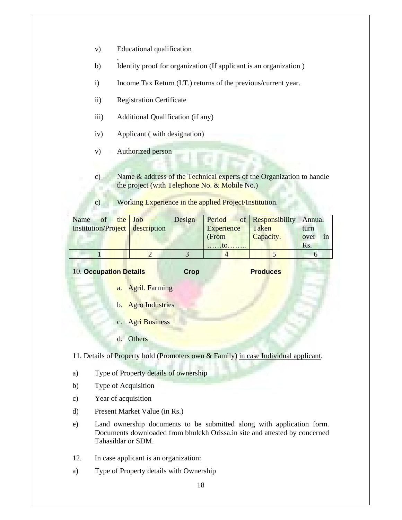v) Educational qualification

.

- b) Identity proof for organization (If applicant is an organization )
- i) Income Tax Return (I.T.) returns of the previous/current year.
- ii) Registration Certificate
- iii) Additional Qualification (if any)
- iv) Applicant ( with designation)
- v) Authorized person
- c) Name & address of the Technical experts of the Organization to handle the project (with Telephone No. & Mobile No.)
- c) Working Experience in the applied Project/Institution.

| Name of the Job                 | Design |            | <b>Period</b> of <b>Responsibility</b> Annual |            |
|---------------------------------|--------|------------|-----------------------------------------------|------------|
| Institution/Project description |        | Experience | Taken                                         | turn       |
|                                 |        | (From      | Capacity.                                     | in<br>over |
|                                 |        | . to       |                                               | Rs.        |
|                                 |        |            |                                               |            |

**10. Occupation Details Crop Crop Produces** 

- a. Agril. Farming
- b. Agro Industries
- c. Agri Business
- d. Others

11. Details of Property hold (Promoters own & Family) in case Individual applicant.

- a) Type of Property details of ownership
- b) Type of Acquisition
- c) Year of acquisition
- d) Present Market Value (in Rs.)
- e) Land ownership documents to be submitted along with application form. Documents downloaded from bhulekh Orissa.in site and attested by concerned Tahasildar or SDM.
- 12. In case applicant is an organization:
- a) Type of Property details with Ownership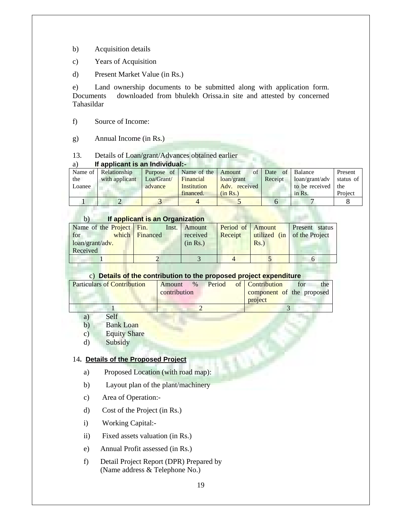- b) Acquisition details
- c) Years of Acquisition
- d) Present Market Value (in Rs.)

e) Land ownership documents to be submitted along with application form. Documents downloaded from bhulekh Orissa.in site and attested by concerned Tahasildar

- f) Source of Income:
- g) Annual Income (in Rs.)

# 13. Details of Loan/grant/Advances obtained earlier

# a) **If applicant is an Individual:-**

| . .    |                      |            |                               |               |                       |                    |           |
|--------|----------------------|------------|-------------------------------|---------------|-----------------------|--------------------|-----------|
|        | Name of Relationship |            | Purpose of Name of the Amount |               | of Date<br>$\circ$ of | Balance            | Present   |
| the    | with applicant       | Loa/Grant/ | <b>Financial</b>              | loan/grant    | Receipt               | loan/grant/adv     | status of |
| Loanee |                      | advance    | Institution                   | Adv. received |                       | to be received the |           |
|        |                      |            | financed.                     | (in Rs.)      |                       | $in$ Rs.           | Project   |
|        |                      |            |                               |               |                       |                    |           |

# b) **If applicant is an Organization**

| Name of the Project Fin.       |                | Inst. Amount | Period of Amount |         | Present status              |
|--------------------------------|----------------|--------------|------------------|---------|-----------------------------|
| for f                          | which Financed | received     | Receipt          |         | utilized (in of the Project |
| $\log_{10}(x)$ loan/grant/adv. |                | (in Rs.)     |                  | $Rs.$ ) |                             |
| Received                       |                |              |                  |         |                             |
|                                |                |              |                  |         |                             |

# c) **Details of the contribution to the proposed project expenditure**

| <b>Particulars of Contribution</b> | Amount       | $\%$ | Period | of Contribution           | for | the |
|------------------------------------|--------------|------|--------|---------------------------|-----|-----|
|                                    | contribution |      |        | component of the proposed |     |     |
|                                    |              |      |        | project                   |     |     |
|                                    |              |      |        |                           |     |     |

- a) Self
- b) Bank Loan
- c) Equity Share
- d) Subsidy

# 14**. Details of the Proposed Project**

- a) Proposed Location (with road map):
- b) Layout plan of the plant/machinery
- c) Area of Operation:-
- d) Cost of the Project (in Rs.)
- i) Working Capital:-
- ii) Fixed assets valuation (in Rs.)
- e) Annual Profit assessed (in Rs.)
- f) Detail Project Report (DPR) Prepared by (Name address & Telephone No.)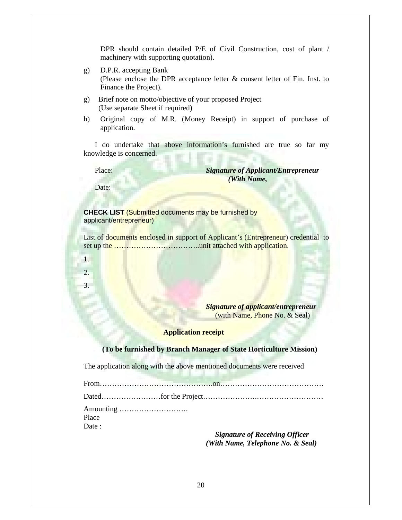DPR should contain detailed P/E of Civil Construction, cost of plant / machinery with supporting quotation).

- g) D.P.R. accepting Bank (Please enclose the DPR acceptance letter & consent letter of Fin. Inst. to Finance the Project).
- g) Brief note on motto/objective of your proposed Project (Use separate Sheet if required)
- h) Original copy of M.R. (Money Receipt) in support of purchase of application.

 I do undertake that above information's furnished are true so far my knowledge is concerned.

 Place: *Signature of Applicant/Entrepreneur (With Name,* 

Date:

1.

2. 3.

**CHECK LIST** (Submitted documents may be furnished by applicant/entrepreneur)

List of documents enclosed in support of Applicant's (Entrepreneur) credential to set up the ……………………………..unit attached with application.

> *Signature of applicant/entrepreneur*  (with Name, Phone No. & Seal)

# **Application receipt**

#### **(To be furnished by Branch Manager of State Horticulture Mission)**

The application along with the above mentioned documents were received

From……………………………………….on…………………………………… Dated……………………for the Project………………….……………………… Amounting ……………………….

Place Date:

> *Signature of Receiving Officer (With Name, Telephone No. & Seal)*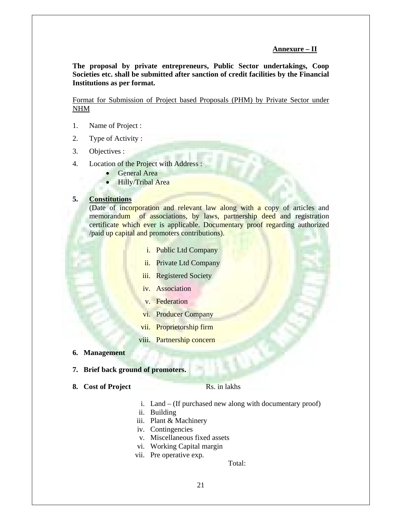# **Annexure – II**

**The proposal by private entrepreneurs, Public Sector undertakings, Coop Societies etc. shall be submitted after sanction of credit facilities by the Financial Institutions as per format.** 

Format for Submission of Project based Proposals (PHM) by Private Sector under NHM

- 1. Name of Project :
- 2. Type of Activity :
- 3. Objectives :
- 4. Location of the Project with Address :
	- General Area
	- **Hilly/Tribal Area**

# **5. Constitutions**

(Date of incorporation and relevant law along with a copy of articles and memorandum of associations, by laws, partnership deed and registration certificate which ever is applicable. Documentary proof regarding authorized /paid up capital and promoters contributions).

- i. Public Ltd Company
- ii. Private Ltd Company
- iii. Registered Society
- iv. Association
- v. Federation
- vi. Producer Company
- vii. Proprietorship firm
- viii. Partnership concern
- **6. Management**
- **7. Brief back ground of promoters.**
- **8.** Cost of Project Rs. in lakhs

- i. Land (If purchased new along with documentary proof)
- ii. Building
- iii. Plant & Machinery
- iv. Contingencies
- v. Miscellaneous fixed assets
- vi. Working Capital margin
- vii. Pre operative exp.

Total: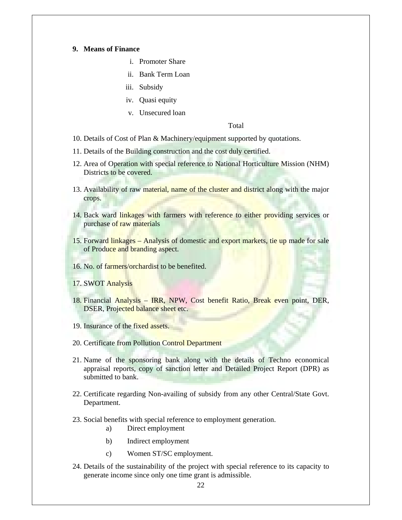## **9. Means of Finance**

- i. Promoter Share
- ii. Bank Term Loan
- iii. Subsidy
- iv. Quasi equity
- v. Unsecured loan

Total

- 10. Details of Cost of Plan & Machinery/equipment supported by quotations.
- 11. Details of the Building construction and the cost duly certified.
- 12. Area of Operation with special reference to National Horticulture Mission (NHM) Districts to be covered.
- 13. Availability of raw material, name of the cluster and district along with the major crops.
- 14. Back ward linkages with farmers with reference to either providing services or purchase of raw materials
- 15. Forward linkages Analysis of domestic and export markets, tie up made for sale of Produce and branding aspect.
- 16. No. of farmers/orchardist to be benefited.
- 17. SWOT Analysis
- 18. Financial Analysis IRR, NPW, Cost benefit Ratio, Break even point, DER, DSER, Projected balance sheet etc.
- 19. Insurance of the fixed assets.
- 20. Certificate from Pollution Control Department
- 21. Name of the sponsoring bank along with the details of Techno economical appraisal reports, copy of sanction letter and Detailed Project Report (DPR) as submitted to bank.
- 22. Certificate regarding Non-availing of subsidy from any other Central/State Govt. Department.
- 23. Social benefits with special reference to employment generation.
	- a) Direct employment
	- b) Indirect employment
	- c) Women ST/SC employment.
- 24. Details of the sustainability of the project with special reference to its capacity to generate income since only one time grant is admissible.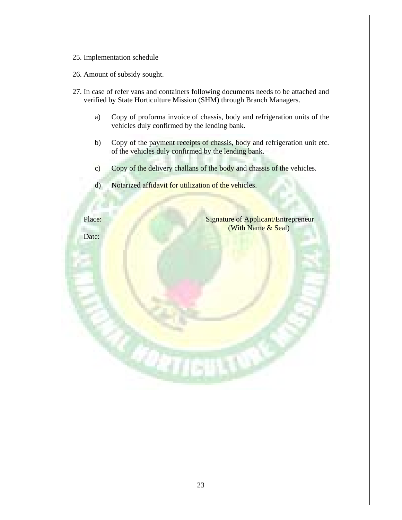- 25. Implementation schedule
- 26. Amount of subsidy sought.
- 27. In case of refer vans and containers following documents needs to be attached and verified by State Horticulture Mission (SHM) through Branch Managers.
	- a) Copy of proforma invoice of chassis, body and refrigeration units of the vehicles duly confirmed by the lending bank.
	- b) Copy of the payment receipts of chassis, body and refrigeration unit etc. of the vehicles duly confirmed by the lending bank.
	- c) Copy of the delivery challans of the body and chassis of the vehicles.
	- d) Notarized affidavit for utilization of the vehicles.

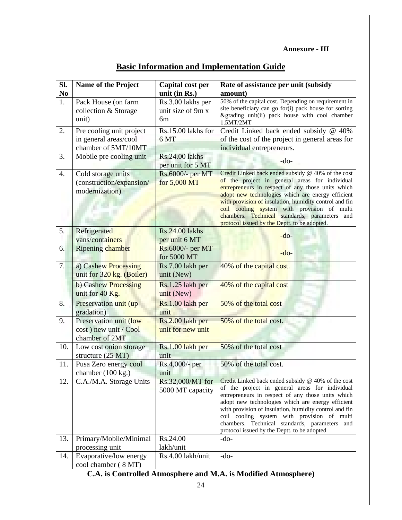# **Annexure - III**

| SI.            | <b>Name of the Project</b>  | Capital cost per   | Rate of assistance per unit (subsidy                                                                    |
|----------------|-----------------------------|--------------------|---------------------------------------------------------------------------------------------------------|
| N <sub>0</sub> |                             | unit (in Rs.)      | amount)                                                                                                 |
| 1.             | Pack House (on farm         | Rs.3.00 lakhs per  | 50% of the capital cost. Depending on requirement in                                                    |
|                | collection & Storage        | unit size of 9m x  | site beneficiary can go for(i) pack house for sorting<br>&grading unit(ii) pack house with cool chamber |
|                | unit)                       | 6m                 | 1.5MT/2MT                                                                                               |
| 2.             | Pre cooling unit project    | Rs.15.00 lakhs for | Credit Linked back ended subsidy @ 40%                                                                  |
|                | in general areas/cool       | 6 MT               | of the cost of the project in general areas for                                                         |
|                | chamber of 5MT/10MT         |                    | individual entrepreneurs.                                                                               |
| 3.             | Mobile pre cooling unit     | Rs.24.00 lakhs     | $-do-$                                                                                                  |
|                |                             | per unit for 5 MT  |                                                                                                         |
| 4.             | Cold storage units          | Rs.6000/- per MT   | Credit Linked back ended subsidy @ 40% of the cost                                                      |
|                | (construction/expansion/    | for 5,000 MT       | of the project in general areas for individual<br>entrepreneurs in respect of any those units which     |
|                | modernization)              |                    | adopt new technologies which are energy efficient                                                       |
|                |                             |                    | with provision of insulation, humidity control and fin                                                  |
|                |                             |                    | coil cooling system with provision of multi                                                             |
|                |                             |                    | chambers. Technical standards, parameters and<br>protocol issued by the Deptt. to be adopted.           |
| 5.             | Refrigerated                | Rs.24.00 lakhs     |                                                                                                         |
|                | vans/containers             | per unit 6 MT      | $-do-$                                                                                                  |
| 6.             | <b>Ripening chamber</b>     | Rs.6000/- per MT   |                                                                                                         |
|                |                             | for 5000 MT        | $-do-$                                                                                                  |
| 7.             | a) Cashew Processing        | Rs.7.00 lakh per   | 40% of the capital cost.                                                                                |
|                | unit for 320 kg. (Boiler)   | unit (New)         |                                                                                                         |
|                | b) Cashew Processing        | Rs.1.25 lakh per   | 40% of the capital cost                                                                                 |
|                | unit for 40 Kg.             | unit (New)         |                                                                                                         |
| 8.             | Preservation unit (up)      | Rs.1.00 lakh per   | 50% of the total cost                                                                                   |
|                | gradation)                  | unit               |                                                                                                         |
| 9.             | Preservation unit (low      | Rs.2.00 lakh per   | 50% of the total cost.                                                                                  |
|                | cost) new unit / Cool       | unit for new unit  |                                                                                                         |
|                | chamber of 2MT              |                    |                                                                                                         |
| 10.            | Low cost onion storage      | Rs.1.00 lakh per   | 50% of the total cost                                                                                   |
|                | structure $(25 \text{ MT})$ | unit               |                                                                                                         |
| 11.            | Pusa Zero energy cool       | Rs.4,000/- per     | 50% of the total cost.                                                                                  |
|                | chamber (100 kg.)           | unit               | Credit Linked back ended subsidy @ 40% of the cost                                                      |
| 12.            | C.A./M.A. Storage Units     | Rs.32,000/MT for   | of the project in general areas for individual                                                          |
|                |                             | 5000 MT capacity   | entrepreneurs in respect of any those units which                                                       |
|                |                             |                    | adopt new technologies which are energy efficient                                                       |
|                |                             |                    | with provision of insulation, humidity control and fin                                                  |
|                |                             |                    | coil cooling system with provision of multi<br>chambers. Technical standards, parameters and            |
|                |                             |                    | protocol issued by the Deptt. to be adopted                                                             |
| 13.            | Primary/Mobile/Minimal      | Rs.24.00           | $-do-$                                                                                                  |
|                | processing unit             | lakh/unit          |                                                                                                         |
| 14.            | Evaporative/low energy      | Rs.4.00 lakh/unit  | $-do-$                                                                                                  |
|                | cool chamber (8 MT)         |                    |                                                                                                         |

# **C.A. is Controlled Atmosphere and M.A. is Modified Atmosphere)**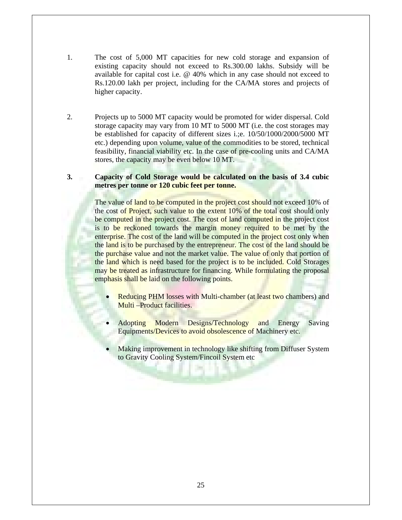- 1. The cost of 5,000 MT capacities for new cold storage and expansion of existing capacity should not exceed to Rs.300.00 lakhs. Subsidy will be available for capital cost i.e. @ 40% which in any case should not exceed to Rs.120.00 lakh per project, including for the CA/MA stores and projects of higher capacity.
- 2. Projects up to 5000 MT capacity would be promoted for wider dispersal. Cold storage capacity may vary from 10 MT to 5000 MT (i.e. the cost storages may be established for capacity of different sizes i.;e. 10/50/1000/2000/5000 MT etc.) depending upon volume, value of the commodities to be stored, technical feasibility, financial viability etc. In the case of pre-cooling units and CA/MA stores, the capacity may be even below 10 MT.

# **3. Capacity of Cold Storage would be calculated on the basis of 3.4 cubic metres per tonne or 120 cubic feet per tonne.**

The value of land to be computed in the project cost should not exceed 10% of the cost of **Project**, such value to the extent 10% of the total cost should only be computed in the project cost. The cost of land computed in the project cost is to be reckoned towards the margin money required to be met by the enterprise. The cost of the land will be computed in the project cost only when the land is to be purchased by the entrepreneur. The cost of the land should be the purchase value and not the market value. The value of only that portion of the land which is need based for the project is to be included. Cold Storages may be treated as infrastructure for financing. While formulating the proposal emphasis shall be laid on the following points.

- **Reducing PHM losses with Multi-chamber (at least two chambers) and** Multi –Product facilities.
- Adopting Modern Designs/Technology and Energy Saving Equipments/Devices to avoid obsolescence of Machinery etc.
- Making improvement in technology like shifting from Diffuser System to Gravity Cooling System/Fincoil System etc